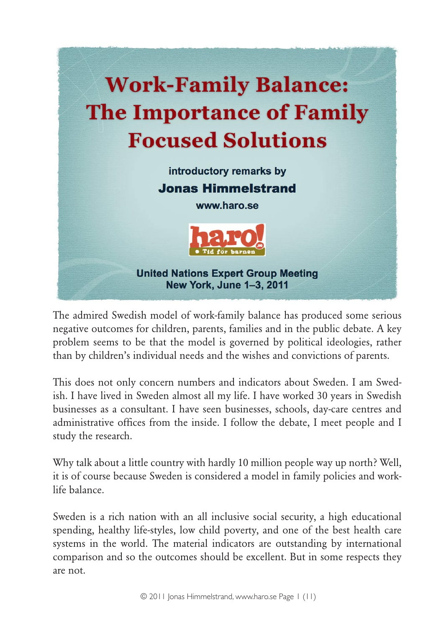

The admired Swedish model of work-family balance has produced some serious negative outcomes for children, parents, families and in the public debate. A key problem seems to be that the model is governed by political ideologies, rather than by children's individual needs and the wishes and convictions of parents.

This does not only concern numbers and indicators about Sweden. I am Swedish. I have lived in Sweden almost all my life. I have worked 30 years in Swedish businesses as a consultant. I have seen businesses, schools, day-care centres and administrative offices from the inside. I follow the debate, I meet people and I study the research.

Why talk about a little country with hardly 10 million people way up north? Well, it is of course because Sweden is considered a model in family policies and worklife balance.

Sweden is a rich nation with an all inclusive social security, a high educational spending, healthy life-styles, low child poverty, and one of the best health care systems in the world. The material indicators are outstanding by international comparison and so the outcomes should be excellent. But in some respects they are not.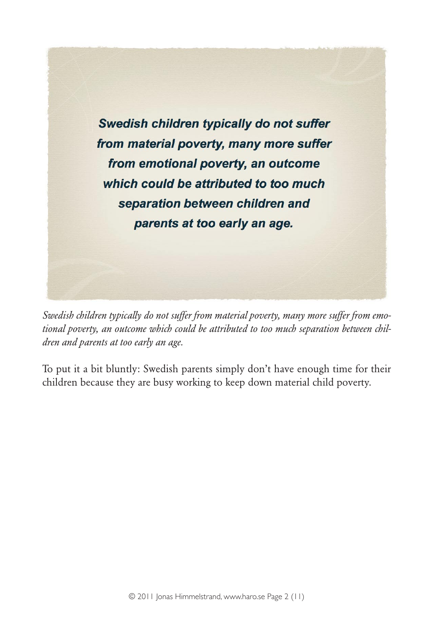

*Swedish children typically do not suffer from material poverty, many more suffer from emotional poverty, an outcome which could be attributed to too much separation between children and parents at too early an age.*

To put it a bit bluntly: Swedish parents simply don't have enough time for their children because they are busy working to keep down material child poverty.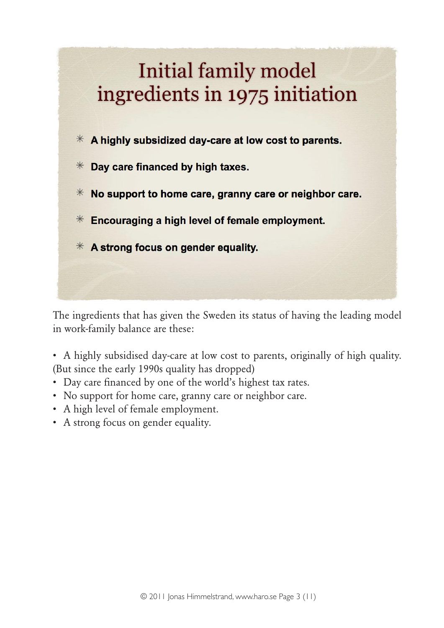

The ingredients that has given the Sweden its status of having the leading model in work-family balance are these:

• A highly subsidised day-care at low cost to parents, originally of high quality. (But since the early 1990s quality has dropped)

- Day care financed by one of the world's highest tax rates.
- No support for home care, granny care or neighbor care.
- A high level of female employment.
- A strong focus on gender equality.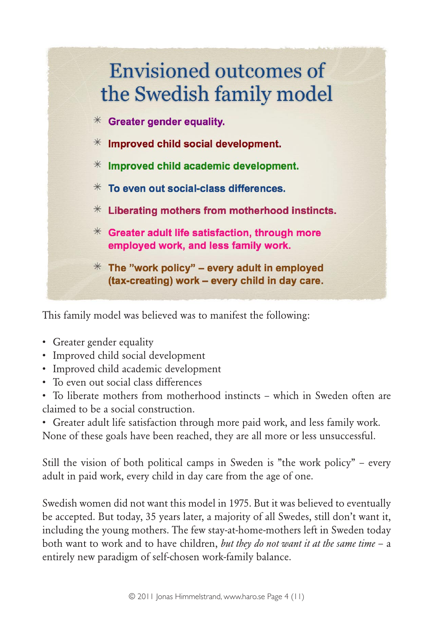

This family model was believed was to manifest the following:

- Greater gender equality
- Improved child social development
- Improved child academic development
- To even out social class differences
- To liberate mothers from motherhood instincts which in Sweden often are claimed to be a social construction.
- Greater adult life satisfaction through more paid work, and less family work. None of these goals have been reached, they are all more or less unsuccessful.

Still the vision of both political camps in Sweden is "the work policy" – every adult in paid work, every child in day care from the age of one.

Swedish women did not want this model in 1975. But it was believed to eventually be accepted. But today, 35 years later, a majority of all Swedes, still don't want it, including the young mothers. The few stay-at-home-mothers left in Sweden today both want to work and to have children, *but they do not want it at the same time* – a entirely new paradigm of self-chosen work-family balance.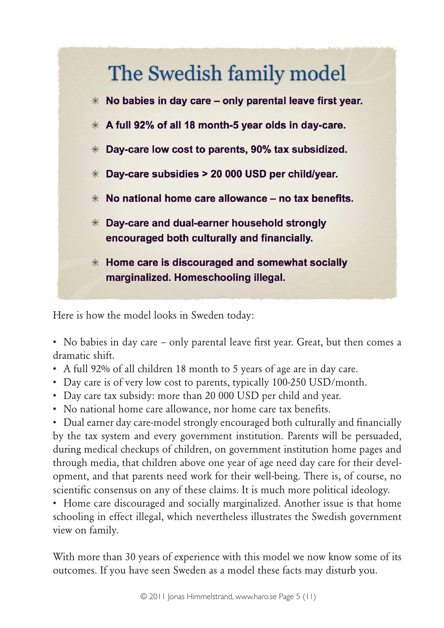

Here is how the model looks in Sweden today:

• No babies in day care – only parental leave first year. Great, but then comes a dramatic shift.

- A full 92% of all children 18 month to 5 years of age are in day care.
- Day care is of very low cost to parents, typically 100-250 USD/month.
- Day care tax subsidy: more than 20 000 USD per child and year.
- No national home care allowance, nor home care tax benefits.

• Dual earner day care-model strongly encouraged both culturally and financially by the tax system and every government institution. Parents will be persuaded, during medical checkups of children, on government institution home pages and through media, that children above one year of age need day care for their development, and that parents need work for their well-being. There is, of course, no scientific consensus on any of these claims. It is much more political ideology.

• Home care discouraged and socially marginalized. Another issue is that home schooling in effect illegal, which nevertheless illustrates the Swedish government view on family.

With more than 30 years of experience with this model we now know some of its outcomes. If you have seen Sweden as a model these facts may disturb you.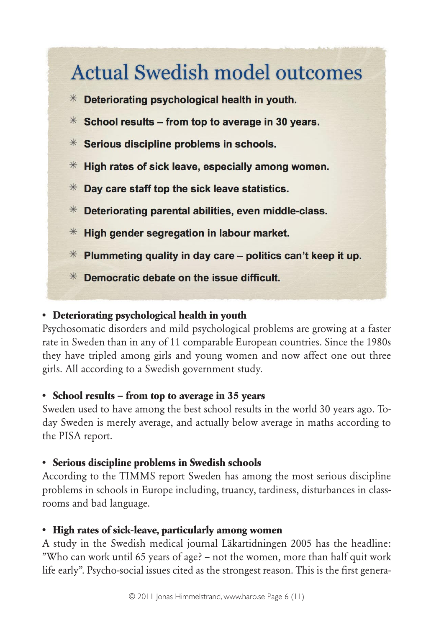# **Actual Swedish model outcomes**

- $*$  Deteriorating psychological health in youth.
- $*$  School results from top to average in 30 years.
- $*$  Serious discipline problems in schools.
- $*$  High rates of sick leave, especially among women.
- Day care staff top the sick leave statistics.  $*$
- $*$  Deteriorating parental abilities, even middle-class.
- $*$  High gender segregation in labour market.
- $*$  Plummeting quality in day care politics can't keep it up.
- $*$  Democratic debate on the issue difficult.

#### **• Deteriorating psychological health in youth**

Psychosomatic disorders and mild psychological problems are growing at a faster rate in Sweden than in any of 11 comparable European countries. Since the 1980s they have tripled among girls and young women and now affect one out three girls. All according to a Swedish government study.

#### **• School results – from top to average in 35 years**

Sweden used to have among the best school results in the world 30 years ago. Today Sweden is merely average, and actually below average in maths according to the PISA report.

#### **• Serious discipline problems in Swedish schools**

According to the TIMMS report Sweden has among the most serious discipline problems in schools in Europe including, truancy, tardiness, disturbances in classrooms and bad language.

#### **• High rates of sick-leave, particularly among women**

A study in the Swedish medical journal Läkartidningen 2005 has the headline: "Who can work until 65 years of age? – not the women, more than half quit work life early". Psycho-social issues cited as the strongest reason. This is the first genera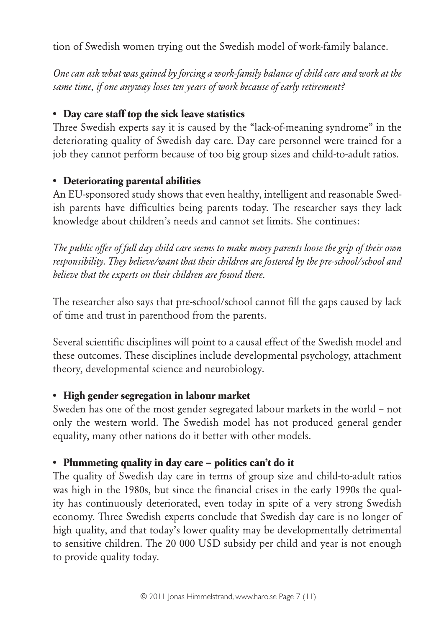tion of Swedish women trying out the Swedish model of work-family balance.

*One can ask what was gained by forcing a work-family balance of child care and work at the same time, if one anyway loses ten years of work because of early retirement?*

### **• Day care staff top the sick leave statistics**

Three Swedish experts say it is caused by the "lack-of-meaning syndrome" in the deteriorating quality of Swedish day care. Day care personnel were trained for a job they cannot perform because of too big group sizes and child-to-adult ratios.

### **• Deteriorating parental abilities**

An EU-sponsored study shows that even healthy, intelligent and reasonable Swedish parents have difficulties being parents today. The researcher says they lack knowledge about children's needs and cannot set limits. She continues:

*The public offer of full day child care seems to make many parents loose the grip of their own responsibility. They believe/want that their children are fostered by the pre-school/school and believe that the experts on their children are found there.*

The researcher also says that pre-school/school cannot fill the gaps caused by lack of time and trust in parenthood from the parents.

Several scientific disciplines will point to a causal effect of the Swedish model and these outcomes. These disciplines include developmental psychology, attachment theory, developmental science and neurobiology.

# **• High gender segregation in labour market**

Sweden has one of the most gender segregated labour markets in the world – not only the western world. The Swedish model has not produced general gender equality, many other nations do it better with other models.

# **• Plummeting quality in day care – politics can't do it**

The quality of Swedish day care in terms of group size and child-to-adult ratios was high in the 1980s, but since the financial crises in the early 1990s the quality has continuously deteriorated, even today in spite of a very strong Swedish economy. Three Swedish experts conclude that Swedish day care is no longer of high quality, and that today's lower quality may be developmentally detrimental to sensitive children. The 20 000 USD subsidy per child and year is not enough to provide quality today.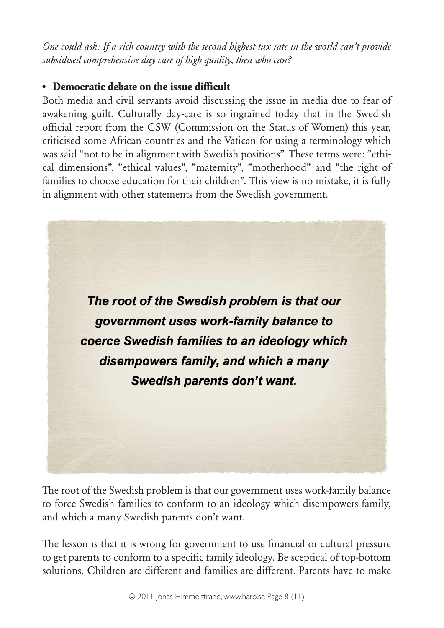*One could ask: If a rich country with the second highest tax rate in the world can't provide subsidised comprehensive day care of high quality, then who can?*

#### **• Democratic debate on the issue difficult**

Both media and civil servants avoid discussing the issue in media due to fear of awakening guilt. Culturally day-care is so ingrained today that in the Swedish official report from the CSW (Commission on the Status of Women) this year, criticised some African countries and the Vatican for using a terminology which was said "not to be in alignment with Swedish positions". These terms were: "ethical dimensions", "ethical values", "maternity", "motherhood" and "the right of families to choose education for their children". This view is no mistake, it is fully in alignment with other statements from the Swedish government.



The root of the Swedish problem is that our government uses work-family balance to force Swedish families to conform to an ideology which disempowers family, and which a many Swedish parents don't want.

The lesson is that it is wrong for government to use financial or cultural pressure to get parents to conform to a specific family ideology. Be sceptical of top-bottom solutions. Children are different and families are different. Parents have to make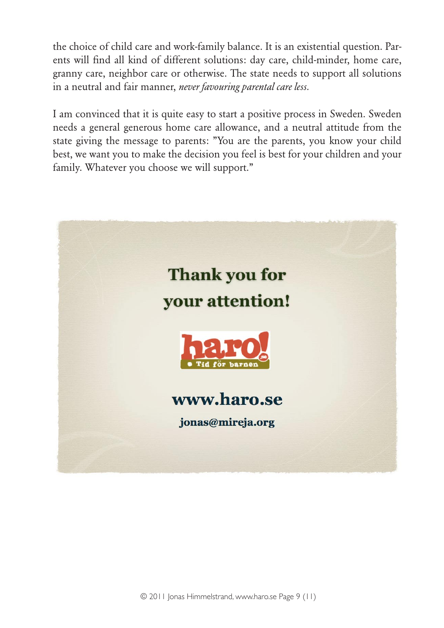the choice of child care and work-family balance. It is an existential question. Parents will find all kind of different solutions: day care, child-minder, home care, granny care, neighbor care or otherwise. The state needs to support all solutions in a neutral and fair manner, *never favouring parental care less.*

I am convinced that it is quite easy to start a positive process in Sweden. Sweden needs a general generous home care allowance, and a neutral attitude from the state giving the message to parents: "You are the parents, you know your child best, we want you to make the decision you feel is best for your children and your family. Whatever you choose we will support."

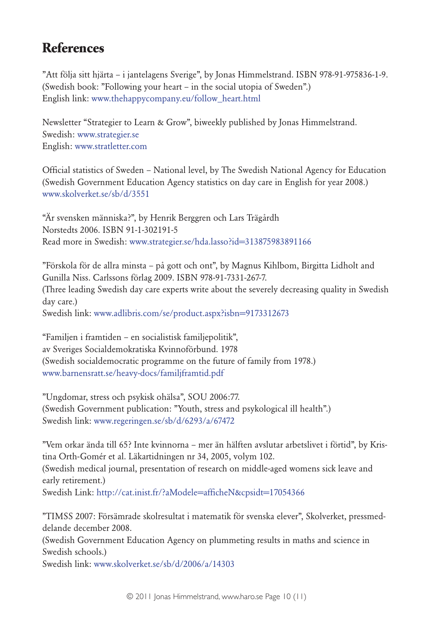# **References**

"Att följa sitt hjärta – i jantelagens Sverige", by Jonas Himmelstrand. ISBN 978-91-975836-1-9. (Swedish book: "Following your heart – in the social utopia of Sweden".) English link: [www.thehappycompany.eu/follow\\_heart.html](http://www.thehappycompany.eu/follow_heart.html)

Newsletter "Strategier to Learn & Grow", biweekly published by Jonas Himmelstrand. Swedish: [www.strategier.se](http://www.strategier.se/) English: [www.stratletter.com](http://www.stratletter.com/)

Official statistics of Sweden – National level, by The Swedish National Agency for Education (Swedish Government Education Agency statistics on day care in English for year 2008.) [www.skolverket.se/sb/d/3551](http://www.skolverket.se/sb/d/3551)

"Är svensken människa?", by Henrik Berggren och Lars Trägårdh Norstedts 2006. ISBN 91-1-302191-5 Read more in Swedish: [www.strategier.se/hda.lasso?id=313875983891166](http://www.strategier.se/hda.lasso?id=313875983891166)

"Förskola för de allra minsta – på gott och ont", by Magnus Kihlbom, Birgitta Lidholt and Gunilla Niss. Carlssons förlag 2009. ISBN 978-91-7331-267-7. (Three leading Swedish day care experts write about the severely decreasing quality in Swedish day care.) Swedish link: [www.adlibris.com/se/product.aspx?isbn=9173312673](http://www.adlibris.com/se/product.aspx?isbn=9173312673)

"Familjen i framtiden – en socialistisk familjepolitik", av Sveriges Socialdemokratiska Kvinnoförbund. 1978 (Swedish socialdemocratic programme on the future of family from 1978.) [www.barnensratt.se/heavy-docs/familjframtid.pdf](http://www.barnensratt.se/heavy-docs/familjframtid.pdf)

"Ungdomar, stress och psykisk ohälsa", SOU 2006:77. (Swedish Government publication: "Youth, stress and psykological ill health".) Swedish link: [www.regeringen.se/sb/d/6293/a/67472](http://www.regeringen.se/sb/d/6293/a/67472)

"Vem orkar ända till 65? Inte kvinnorna – mer än hälften avslutar arbetslivet i förtid", by Kristina Orth-Gomér et al. Läkartidningen nr 34, 2005, volym 102. (Swedish medical journal, presentation of research on middle-aged womens sick leave and early retirement.) Swedish Link:<http://cat.inist.fr/?aModele=afficheN&cpsidt=17054366>

"TIMSS 2007: Försämrade skolresultat i matematik för svenska elever", Skolverket, pressmeddelande december 2008. (Swedish Government Education Agency on plummeting results in maths and science in Swedish schools.) Swedish link: [www.skolverket.se/sb/d/2006/a/14303](http://www.skolverket.se/sb/d/2006/a/14303)